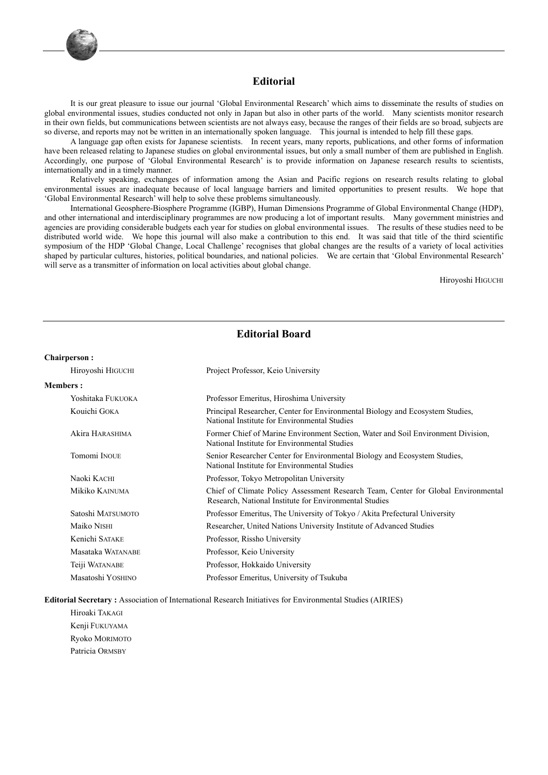

### **Editorial**

It is our great pleasure to issue our journal 'Global Environmental Research' which aims to disseminate the results of studies on global environmental issues, studies conducted not only in Japan but also in other parts of the world. Many scientists monitor research in their own fields, but communications between scientists are not always easy, because the ranges of their fields are so broad, subjects are so diverse, and reports may not be written in an internationally spoken language. This journal is intended to help fill these gaps.

A language gap often exists for Japanese scientists. In recent years, many reports, publications, and other forms of information have been released relating to Japanese studies on global environmental issues, but only a small number of them are published in English. Accordingly, one purpose of 'Global Environmental Research' is to provide information on Japanese research results to scientists, internationally and in a timely manner.

Relatively speaking, exchanges of information among the Asian and Pacific regions on research results relating to global environmental issues are inadequate because of local language barriers and limited opportunities to present results. We hope that 'Global Environmental Research' will help to solve these problems simultaneously.

International Geosphere-Biosphere Programme (IGBP), Human Dimensions Programme of Global Environmental Change (HDP), and other international and interdisciplinary programmes are now producing a lot of important results. Many government ministries and agencies are providing considerable budgets each year for studies on global environmental issues. The results of these studies need to be distributed world wide. We hope this journal will also make a contribution to this end. It was said that title of the third scientific symposium of the HDP 'Global Change, Local Challenge' recognises that global changes are the results of a variety of local activities shaped by particular cultures, histories, political boundaries, and national policies. We are certain that 'Global Environmental Research' will serve as a transmitter of information on local activities about global change.

Hiroyoshi HIGUCHI

### **Editorial Board**

#### **Chairperson :**

| Hiroyoshi HIGUCHI | Project Professor, Keio University                                                                                                          |
|-------------------|---------------------------------------------------------------------------------------------------------------------------------------------|
| <b>Members :</b>  |                                                                                                                                             |
| Yoshitaka Fukuoka | Professor Emeritus, Hiroshima University                                                                                                    |
| Kouichi GOKA      | Principal Researcher, Center for Environmental Biology and Ecosystem Studies,<br>National Institute for Environmental Studies               |
| Akira HARASHIMA   | Former Chief of Marine Environment Section, Water and Soil Environment Division,<br>National Institute for Environmental Studies            |
| Tomomi INOUE      | Senior Researcher Center for Environmental Biology and Ecosystem Studies,<br>National Institute for Environmental Studies                   |
| Naoki KACHI       | Professor, Tokyo Metropolitan University                                                                                                    |
| Mikiko Kainuma    | Chief of Climate Policy Assessment Research Team, Center for Global Environmental<br>Research, National Institute for Environmental Studies |
| Satoshi MATSUMOTO | Professor Emeritus, The University of Tokyo / Akita Prefectural University                                                                  |
| Maiko Nishi       | Researcher, United Nations University Institute of Advanced Studies                                                                         |
| Kenichi SATAKE    | Professor, Rissho University                                                                                                                |
| Masataka WATANABE | Professor, Keio University                                                                                                                  |
| Teiji WATANABE    | Professor, Hokkaido University                                                                                                              |
| Masatoshi YOSHINO | Professor Emeritus, University of Tsukuba                                                                                                   |
|                   |                                                                                                                                             |

**Editorial Secretary :** Association of International Research Initiatives for Environmental Studies (AIRIES)

 Hiroaki TAKAGI Kenji FUKUYAMA Ryoko MORIMOTO Patricia ORMSBY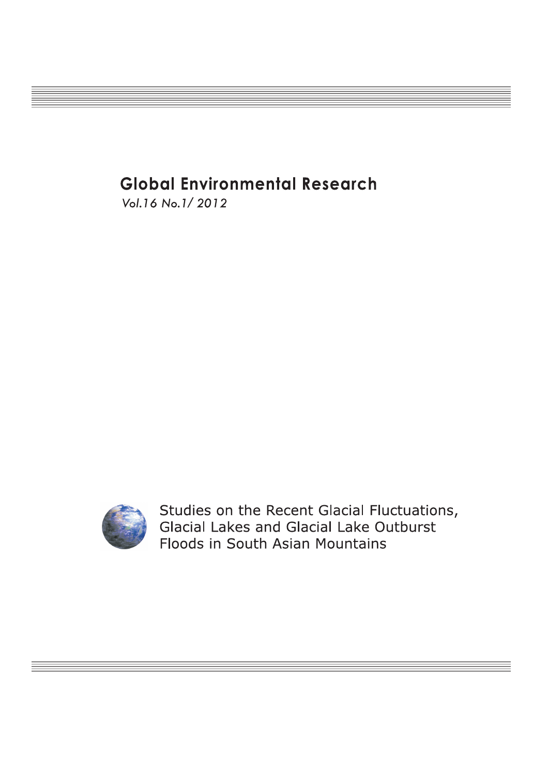# **Global Environmental Research**

Vol. 16 No. 1/2012



Studies on the Recent Glacial Fluctuations, Glacial Lakes and Glacial Lake Outburst Floods in South Asian Mountains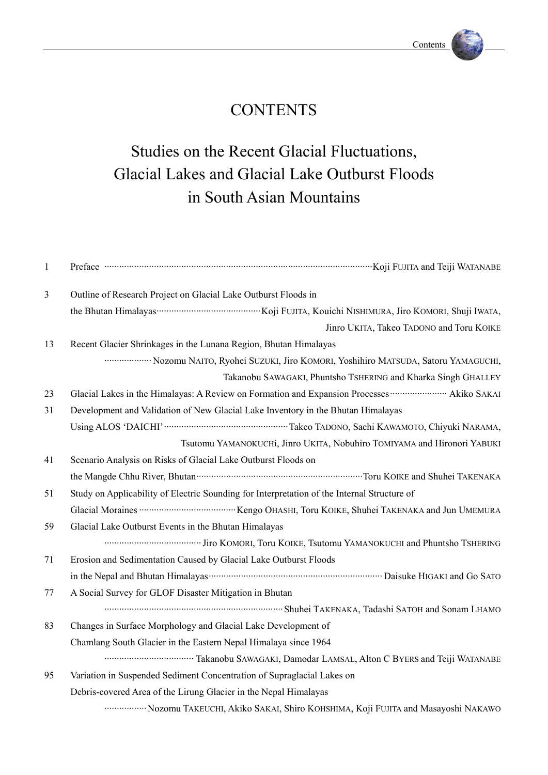## **CONTENTS**

# Studies on the Recent Glacial Fluctuations, Glacial Lakes and Glacial Lake Outburst Floods in South Asian Mountains

| $\mathbf{1}$ |                                                                                                     |
|--------------|-----------------------------------------------------------------------------------------------------|
| 3            | Outline of Research Project on Glacial Lake Outburst Floods in                                      |
|              |                                                                                                     |
|              | Jinro UKITA, Takeo TADONO and Toru KOIKE                                                            |
| 13           | Recent Glacier Shrinkages in the Lunana Region, Bhutan Himalayas                                    |
|              | Nozomu NAITO, Ryohei SUZUKI, Jiro KOMORI, Yoshihiro MATSUDA, Satoru YAMAGUCHI,                      |
|              | Takanobu SAWAGAKI, Phuntsho TSHERING and Kharka Singh GHALLEY                                       |
| 23           | Glacial Lakes in the Himalayas: A Review on Formation and Expansion Processes  Akiko SAKAI          |
| 31           | Development and Validation of New Glacial Lake Inventory in the Bhutan Himalayas                    |
|              |                                                                                                     |
|              | Tsutomu YAMANOKUCHi, Jinro UKITA, Nobuhiro TOMIYAMA and Hironori YABUKI                             |
| 41           | Scenario Analysis on Risks of Glacial Lake Outburst Floods on                                       |
|              |                                                                                                     |
| 51           | Study on Applicability of Electric Sounding for Interpretation of the Internal Structure of         |
|              |                                                                                                     |
| 59           | Glacial Lake Outburst Events in the Bhutan Himalayas                                                |
|              |                                                                                                     |
| 71           | Erosion and Sedimentation Caused by Glacial Lake Outburst Floods                                    |
|              |                                                                                                     |
| 77           | A Social Survey for GLOF Disaster Mitigation in Bhutan                                              |
|              |                                                                                                     |
| 83           | Changes in Surface Morphology and Glacial Lake Development of                                       |
|              | Chamlang South Glacier in the Eastern Nepal Himalaya since 1964                                     |
|              |                                                                                                     |
| 95           | Variation in Suspended Sediment Concentration of Supraglacial Lakes on                              |
|              | Debris-covered Area of the Lirung Glacier in the Nepal Himalayas                                    |
|              | ···················· Nozomu TAKEUCHI, Akiko SAKAI, Shiro KOHSHIMA, Koji FUJITA and Masayoshi NAKAWO |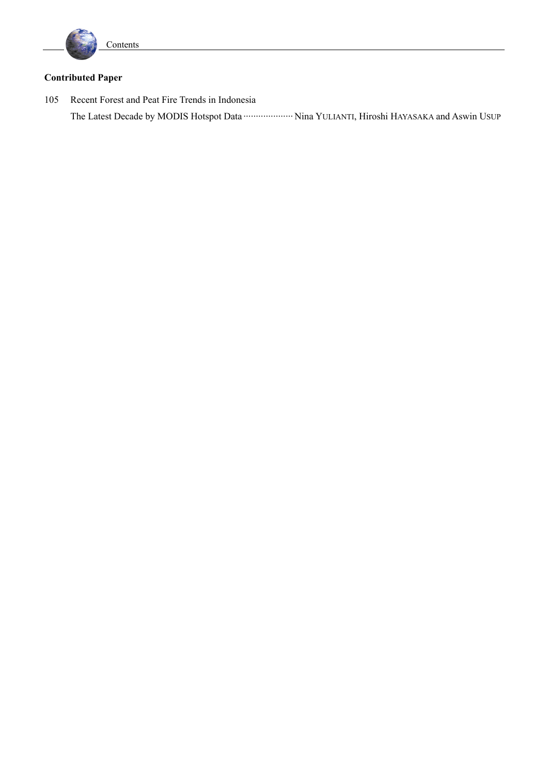

## **Contributed Paper**

105 Recent Forest and Peat Fire Trends in Indonesia The Latest Decade by MODIS Hotspot Data ··························· Nina YULIANTI, Hiroshi HAYASAKA and Aswin USUP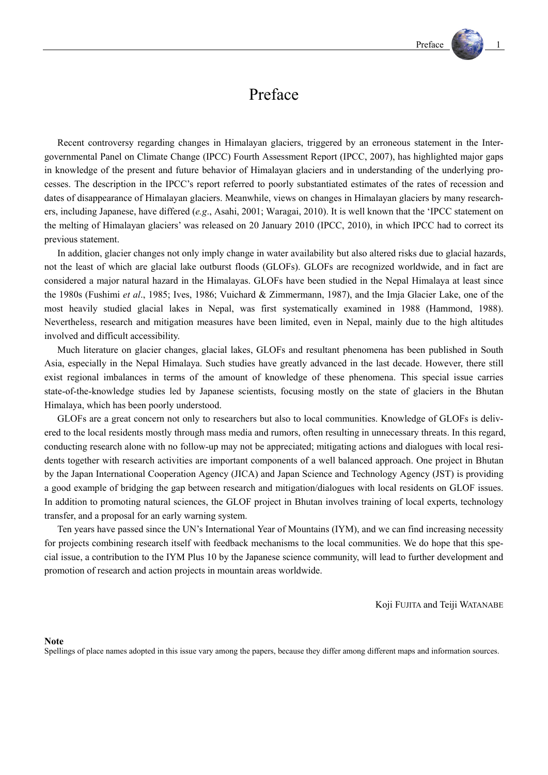## Preface

Recent controversy regarding changes in Himalayan glaciers, triggered by an erroneous statement in the Intergovernmental Panel on Climate Change (IPCC) Fourth Assessment Report (IPCC, 2007), has highlighted major gaps in knowledge of the present and future behavior of Himalayan glaciers and in understanding of the underlying processes. The description in the IPCC's report referred to poorly substantiated estimates of the rates of recession and dates of disappearance of Himalayan glaciers. Meanwhile, views on changes in Himalayan glaciers by many researchers, including Japanese, have differed (*e.g*., Asahi, 2001; Waragai, 2010). It is well known that the 'IPCC statement on the melting of Himalayan glaciers' was released on 20 January 2010 (IPCC, 2010), in which IPCC had to correct its previous statement.

In addition, glacier changes not only imply change in water availability but also altered risks due to glacial hazards, not the least of which are glacial lake outburst floods (GLOFs). GLOFs are recognized worldwide, and in fact are considered a major natural hazard in the Himalayas. GLOFs have been studied in the Nepal Himalaya at least since the 1980s (Fushimi *et al*., 1985; Ives, 1986; Vuichard & Zimmermann, 1987), and the Imja Glacier Lake, one of the most heavily studied glacial lakes in Nepal, was first systematically examined in 1988 (Hammond, 1988). Nevertheless, research and mitigation measures have been limited, even in Nepal, mainly due to the high altitudes involved and difficult accessibility.

Much literature on glacier changes, glacial lakes, GLOFs and resultant phenomena has been published in South Asia, especially in the Nepal Himalaya. Such studies have greatly advanced in the last decade. However, there still exist regional imbalances in terms of the amount of knowledge of these phenomena. This special issue carries state-of-the-knowledge studies led by Japanese scientists, focusing mostly on the state of glaciers in the Bhutan Himalaya, which has been poorly understood.

GLOFs are a great concern not only to researchers but also to local communities. Knowledge of GLOFs is delivered to the local residents mostly through mass media and rumors, often resulting in unnecessary threats. In this regard, conducting research alone with no follow-up may not be appreciated; mitigating actions and dialogues with local residents together with research activities are important components of a well balanced approach. One project in Bhutan by the Japan International Cooperation Agency (JICA) and Japan Science and Technology Agency (JST) is providing a good example of bridging the gap between research and mitigation/dialogues with local residents on GLOF issues. In addition to promoting natural sciences, the GLOF project in Bhutan involves training of local experts, technology transfer, and a proposal for an early warning system.

Ten years have passed since the UN's International Year of Mountains (IYM), and we can find increasing necessity for projects combining research itself with feedback mechanisms to the local communities. We do hope that this special issue, a contribution to the IYM Plus 10 by the Japanese science community, will lead to further development and promotion of research and action projects in mountain areas worldwide.

Koji FUJITA and Teiji WATANABE

#### **Note**

Spellings of place names adopted in this issue vary among the papers, because they differ among different maps and information sources.